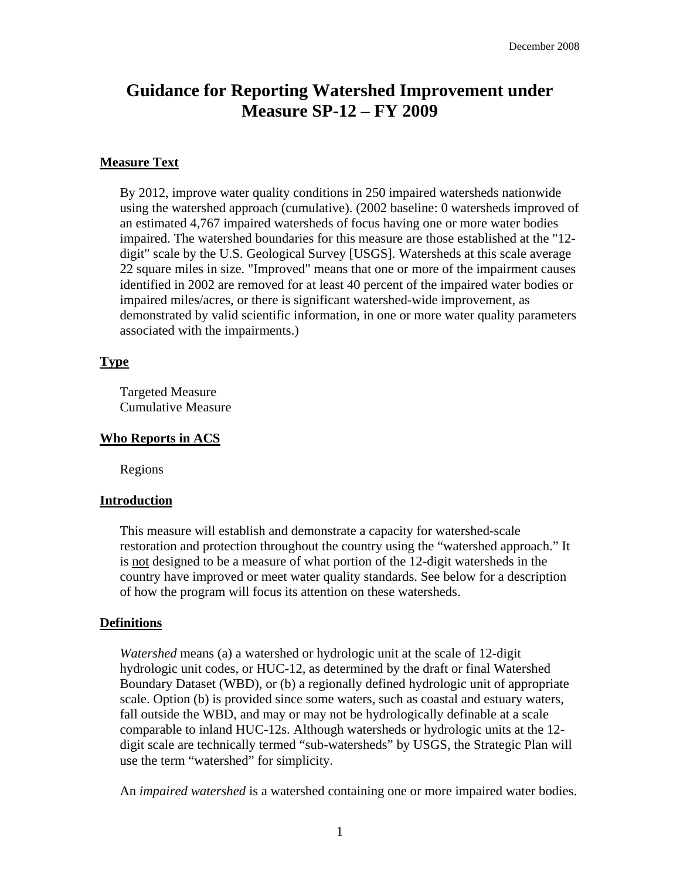## **Guidance for Reporting Watershed Improvement under Measure SP-12 – FY 2009**

#### **Measure Text**

By 2012, improve water quality conditions in 250 impaired watersheds nationwide using the watershed approach (cumulative). (2002 baseline: 0 watersheds improved of an estimated 4,767 impaired watersheds of focus having one or more water bodies impaired. The watershed boundaries for this measure are those established at the "12 digit" scale by the U.S. Geological Survey [USGS]. Watersheds at this scale average 22 square miles in size. "Improved" means that one or more of the impairment causes identified in 2002 are removed for at least 40 percent of the impaired water bodies or impaired miles/acres, or there is significant watershed-wide improvement, as demonstrated by valid scientific information, in one or more water quality parameters associated with the impairments.)

#### **Type**

Targeted Measure Cumulative Measure

#### **Who Reports in ACS**

Regions

#### **Introduction**

This measure will establish and demonstrate a capacity for watershed-scale restoration and protection throughout the country using the "watershed approach." It is not designed to be a measure of what portion of the 12-digit watersheds in the country have improved or meet water quality standards. See below for a description of how the program will focus its attention on these watersheds.

#### **Definitions**

*Watershed* means (a) a watershed or hydrologic unit at the scale of 12-digit hydrologic unit codes, or HUC-12, as determined by the draft or final Watershed Boundary Dataset (WBD), or (b) a regionally defined hydrologic unit of appropriate scale. Option (b) is provided since some waters, such as coastal and estuary waters, fall outside the WBD, and may or may not be hydrologically definable at a scale comparable to inland HUC-12s. Although watersheds or hydrologic units at the 12 digit scale are technically termed "sub-watersheds" by USGS, the Strategic Plan will use the term "watershed" for simplicity.

An *impaired watershed* is a watershed containing one or more impaired water bodies.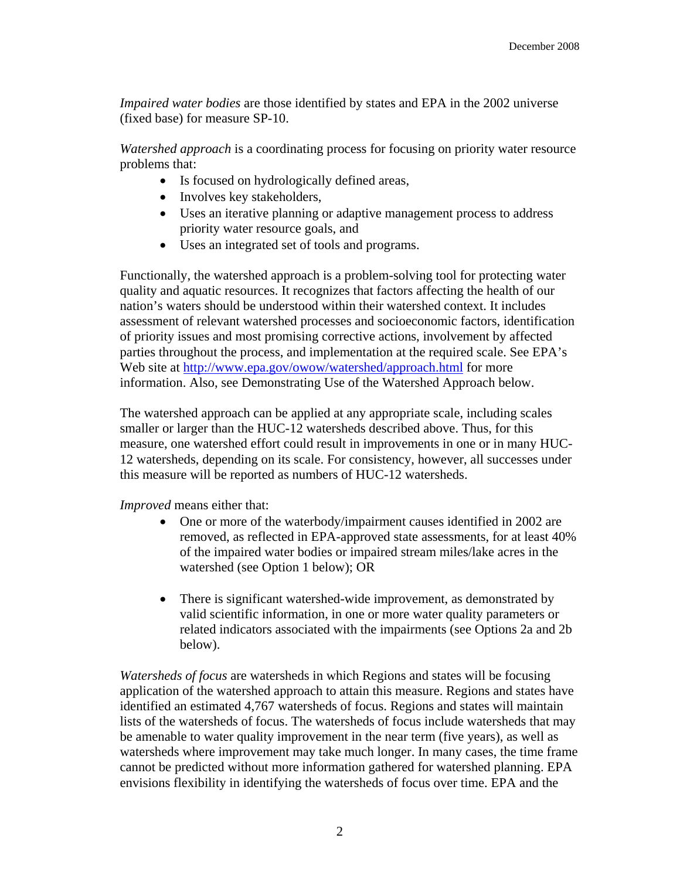*Impaired water bodies* are those identified by states and EPA in the 2002 universe (fixed base) for measure SP-10.

*Watershed approach* is a coordinating process for focusing on priority water resource problems that:

- • Is focused on hydrologically defined areas,
- Involves key stakeholders,
- Uses an iterative planning or adaptive management process to address priority water resource goals, and
- Uses an integrated set of tools and programs.

Functionally, the watershed approach is a problem-solving tool for protecting water quality and aquatic resources. It recognizes that factors affecting the health of our nation's waters should be understood within their watershed context. It includes assessment of relevant watershed processes and socioeconomic factors, identification of priority issues and most promising corrective actions, involvement by affected parties throughout the process, and implementation at the required scale. See EPA's Web site at [http://www.epa.gov/owow/watershed/approach.html fo](http://www.epa.gov/owow/watershed/approach.html)r more information. Also, see Demonstrating Use of the Watershed Approach below.

The watershed approach can be applied at any appropriate scale, including scales smaller or larger than the HUC-12 watersheds described above. Thus, for this measure, one watershed effort could result in improvements in one or in many HUC-12 watersheds, depending on its scale. For consistency, however, all successes under this measure will be reported as numbers of HUC-12 watersheds.

*Improved* means either that:

- One or more of the waterbody/impairment causes identified in 2002 are removed, as reflected in EPA-approved state assessments, for at least 40% of the impaired water bodies or impaired stream miles/lake acres in the watershed (see Option 1 below); OR
- There is significant watershed-wide improvement, as demonstrated by valid scientific information, in one or more water quality parameters or related indicators associated with the impairments (see Options 2a and 2b below).

*Watersheds of focus* are watersheds in which Regions and states will be focusing application of the watershed approach to attain this measure. Regions and states have identified an estimated 4,767 watersheds of focus. Regions and states will maintain lists of the watersheds of focus. The watersheds of focus include watersheds that may be amenable to water quality improvement in the near term (five years), as well as watersheds where improvement may take much longer. In many cases, the time frame cannot be predicted without more information gathered for watershed planning. EPA envisions flexibility in identifying the watersheds of focus over time. EPA and the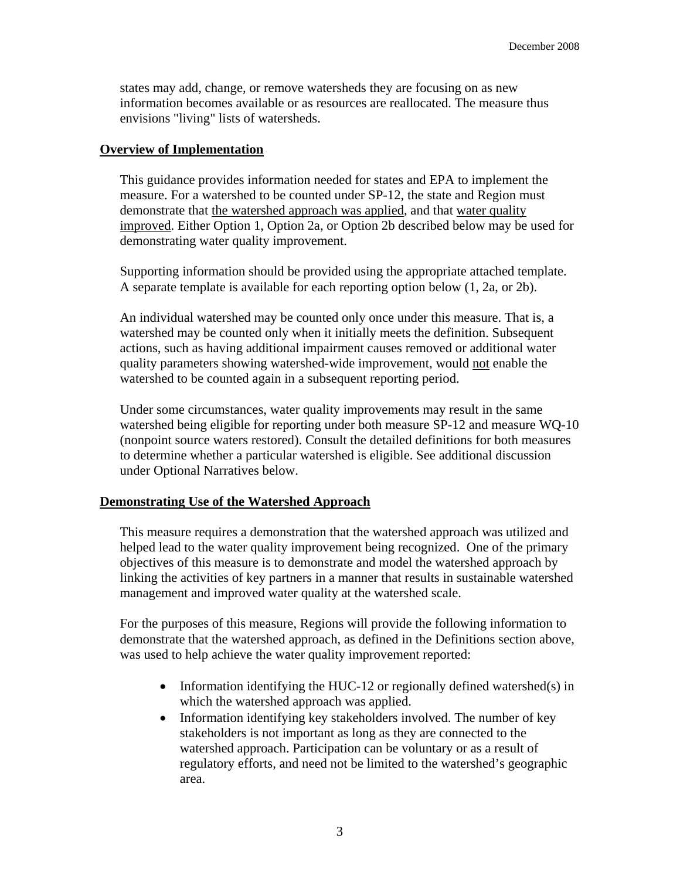states may add, change, or remove watersheds they are focusing on as new information becomes available or as resources are reallocated. The measure thus envisions "living" lists of watersheds.

#### **Overview of Implementation**

This guidance provides information needed for states and EPA to implement the measure. For a watershed to be counted under SP-12, the state and Region must demonstrate that the watershed approach was applied, and that water quality improved. Either Option 1, Option 2a, or Option 2b described below may be used for demonstrating water quality improvement.

Supporting information should be provided using the appropriate attached template. A separate template is available for each reporting option below (1, 2a, or 2b).

An individual watershed may be counted only once under this measure. That is, a watershed may be counted only when it initially meets the definition. Subsequent actions, such as having additional impairment causes removed or additional water quality parameters showing watershed-wide improvement, would not enable the watershed to be counted again in a subsequent reporting period.

Under some circumstances, water quality improvements may result in the same watershed being eligible for reporting under both measure SP-12 and measure WQ-10 (nonpoint source waters restored). Consult the detailed definitions for both measures to determine whether a particular watershed is eligible. See additional discussion under Optional Narratives below.

#### **Demonstrating Use of the Watershed Approach**

This measure requires a demonstration that the watershed approach was utilized and helped lead to the water quality improvement being recognized. One of the primary objectives of this measure is to demonstrate and model the watershed approach by linking the activities of key partners in a manner that results in sustainable watershed management and improved water quality at the watershed scale.

For the purposes of this measure, Regions will provide the following information to demonstrate that the watershed approach, as defined in the Definitions section above, was used to help achieve the water quality improvement reported:

- Information identifying the HUC-12 or regionally defined watershed(s) in which the watershed approach was applied.
- Information identifying key stakeholders involved. The number of key stakeholders is not important as long as they are connected to the watershed approach. Participation can be voluntary or as a result of regulatory efforts, and need not be limited to the watershed's geographic area.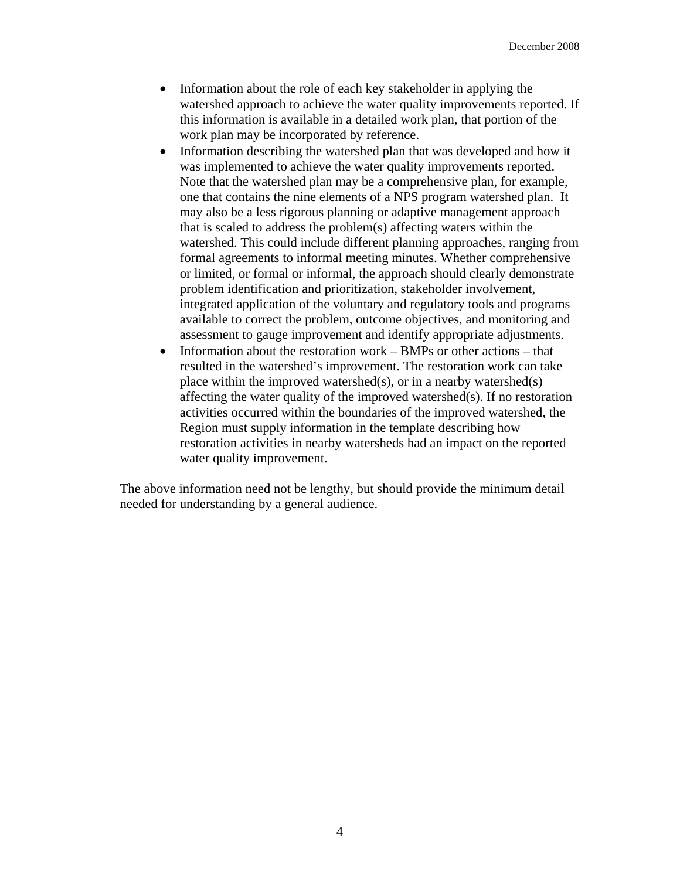- Information about the role of each key stakeholder in applying the watershed approach to achieve the water quality improvements reported. If this information is available in a detailed work plan, that portion of the work plan may be incorporated by reference.
- Information describing the watershed plan that was developed and how it was implemented to achieve the water quality improvements reported. Note that the watershed plan may be a comprehensive plan, for example, one that contains the nine elements of a NPS program watershed plan. It may also be a less rigorous planning or adaptive management approach that is scaled to address the problem(s) affecting waters within the watershed. This could include different planning approaches, ranging from formal agreements to informal meeting minutes. Whether comprehensive or limited, or formal or informal, the approach should clearly demonstrate problem identification and prioritization, stakeholder involvement, integrated application of the voluntary and regulatory tools and programs available to correct the problem, outcome objectives, and monitoring and assessment to gauge improvement and identify appropriate adjustments.
- Information about the restoration work BMPs or other actions that resulted in the watershed's improvement. The restoration work can take place within the improved watershed(s), or in a nearby watershed(s) affecting the water quality of the improved watershed(s). If no restoration activities occurred within the boundaries of the improved watershed, the Region must supply information in the template describing how restoration activities in nearby watersheds had an impact on the reported water quality improvement.

The above information need not be lengthy, but should provide the minimum detail needed for understanding by a general audience.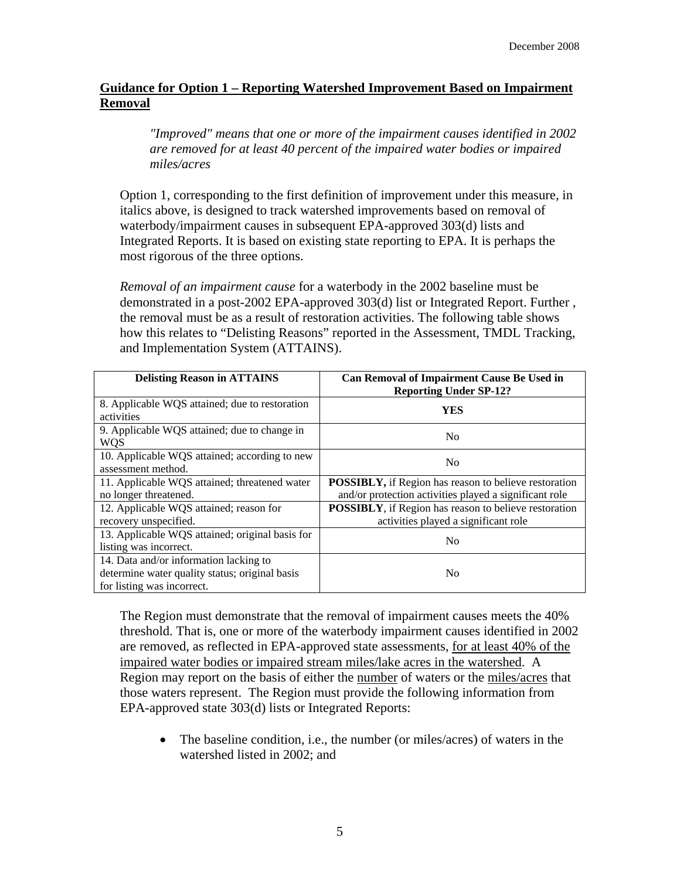#### **Guidance for Option 1 – Reporting Watershed Improvement Based on Impairment Removal**

*"Improved" means that one or more of the impairment causes identified in 2002 are removed for at least 40 percent of the impaired water bodies or impaired miles/acres* 

Option 1, corresponding to the first definition of improvement under this measure, in italics above, is designed to track watershed improvements based on removal of waterbody/impairment causes in subsequent EPA-approved 303(d) lists and Integrated Reports. It is based on existing state reporting to EPA. It is perhaps the most rigorous of the three options.

*Removal of an impairment cause* for a waterbody in the 2002 baseline must be demonstrated in a post-2002 EPA-approved 303(d) list or Integrated Report. Further , the removal must be as a result of restoration activities. The following table shows how this relates to "Delisting Reasons" reported in the Assessment, TMDL Tracking, and Implementation System (ATTAINS).

| <b>Delisting Reason in ATTAINS</b>                                                                                     | Can Removal of Impairment Cause Be Used in<br><b>Reporting Under SP-12?</b>                                            |
|------------------------------------------------------------------------------------------------------------------------|------------------------------------------------------------------------------------------------------------------------|
| 8. Applicable WQS attained; due to restoration<br>activities                                                           | <b>YES</b>                                                                                                             |
| 9. Applicable WQS attained; due to change in<br><b>WQS</b>                                                             | N <sub>0</sub>                                                                                                         |
| 10. Applicable WQS attained; according to new<br>assessment method.                                                    | N <sub>0</sub>                                                                                                         |
| 11. Applicable WQS attained; threatened water<br>no longer threatened.                                                 | <b>POSSIBLY,</b> if Region has reason to believe restoration<br>and/or protection activities played a significant role |
| 12. Applicable WQS attained; reason for<br>recovery unspecified.                                                       | <b>POSSIBLY</b> , if Region has reason to believe restoration<br>activities played a significant role                  |
| 13. Applicable WQS attained; original basis for<br>listing was incorrect.                                              | N <sub>0</sub>                                                                                                         |
| 14. Data and/or information lacking to<br>determine water quality status; original basis<br>for listing was incorrect. | N <sub>0</sub>                                                                                                         |

The Region must demonstrate that the removal of impairment causes meets the 40% threshold. That is, one or more of the waterbody impairment causes identified in 2002 are removed, as reflected in EPA-approved state assessments, for at least 40% of the impaired water bodies or impaired stream miles/lake acres in the watershed. A Region may report on the basis of either the number of waters or the miles/acres that those waters represent. The Region must provide the following information from EPA-approved state 303(d) lists or Integrated Reports:

• The baseline condition, i.e., the number (or miles/acres) of waters in the watershed listed in 2002; and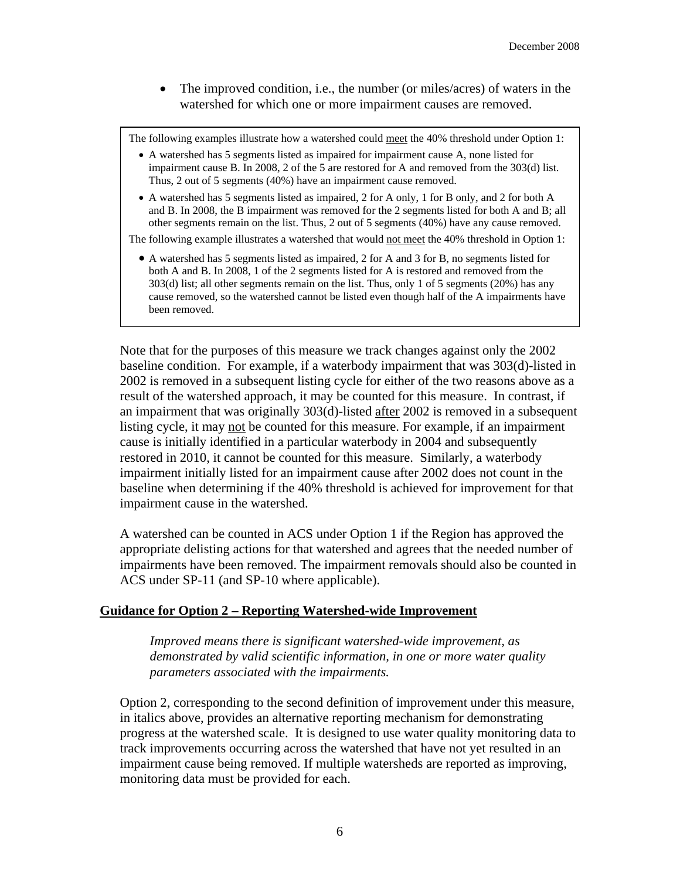• The improved condition, i.e., the number (or miles/acres) of waters in the watershed for which one or more impairment causes are removed.

The following examples illustrate how a watershed could meet the 40% threshold under Option 1:

- impairment cause B. In 2008, 2 of the 5 are restored for A and removed from the 303(d) list. • A watershed has 5 segments listed as impaired for impairment cause A, none listed for Thus, 2 out of 5 segments (40%) have an impairment cause removed.
- and B. In 2008, the B impairment was removed for the 2 segments listed for both A and B; all • A watershed has 5 segments listed as impaired, 2 for A only, 1 for B only, and 2 for both A other segments remain on the list. Thus, 2 out of 5 segments (40%) have any cause removed.

The following example illustrates a watershed that would not meet the 40% threshold in Option 1:

 • A watershed has 5 segments listed as impaired, 2 for A and 3 for B, no segments listed for both A and B. In 2008, 1 of the 2 segments listed for A is restored and removed from the 303(d) list; all other segments remain on the list. Thus, only 1 of 5 segments (20%) has any cause removed, so the watershed cannot be listed even though half of the A impairments have been removed.

Note that for the purposes of this measure we track changes against only the 2002 baseline condition. For example, if a waterbody impairment that was 303(d)-listed in 2002 is removed in a subsequent listing cycle for either of the two reasons above as a result of the watershed approach, it may be counted for this measure. In contrast, if an impairment that was originally 303(d)-listed after 2002 is removed in a subsequent listing cycle, it may not be counted for this measure. For example, if an impairment cause is initially identified in a particular waterbody in 2004 and subsequently restored in 2010, it cannot be counted for this measure. Similarly, a waterbody impairment initially listed for an impairment cause after 2002 does not count in the baseline when determining if the 40% threshold is achieved for improvement for that impairment cause in the watershed.

A watershed can be counted in ACS under Option 1 if the Region has approved the appropriate delisting actions for that watershed and agrees that the needed number of impairments have been removed. The impairment removals should also be counted in ACS under SP-11 (and SP-10 where applicable).

#### **Guidance for Option 2 – Reporting Watershed-wide Improvement**

*Improved means there is significant watershed-wide improvement, as demonstrated by valid scientific information, in one or more water quality parameters associated with the impairments.* 

Option 2, corresponding to the second definition of improvement under this measure, in italics above, provides an alternative reporting mechanism for demonstrating progress at the watershed scale. It is designed to use water quality monitoring data to track improvements occurring across the watershed that have not yet resulted in an impairment cause being removed. If multiple watersheds are reported as improving, monitoring data must be provided for each.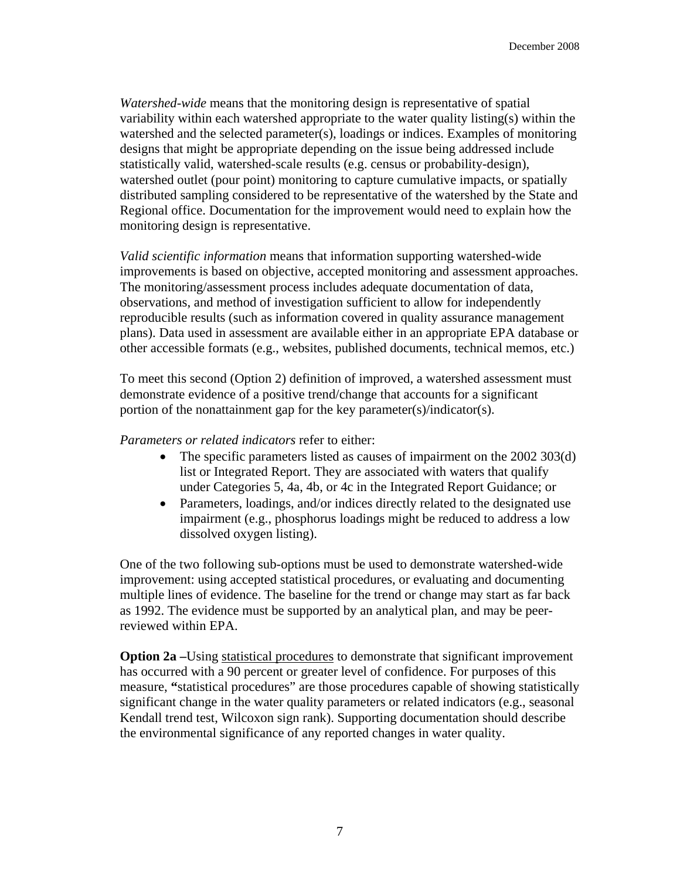*Watershed-wide* means that the monitoring design is representative of spatial variability within each watershed appropriate to the water quality listing(s) within the watershed and the selected parameter(s), loadings or indices. Examples of monitoring designs that might be appropriate depending on the issue being addressed include statistically valid, watershed-scale results (e.g. census or probability-design), watershed outlet (pour point) monitoring to capture cumulative impacts, or spatially distributed sampling considered to be representative of the watershed by the State and Regional office. Documentation for the improvement would need to explain how the monitoring design is representative.

*Valid scientific information* means that information supporting watershed-wide improvements is based on objective, accepted monitoring and assessment approaches. The monitoring/assessment process includes adequate documentation of data, observations, and method of investigation sufficient to allow for independently reproducible results (such as information covered in quality assurance management plans). Data used in assessment are available either in an appropriate EPA database or other accessible formats (e.g., websites, published documents, technical memos, etc.)

To meet this second (Option 2) definition of improved, a watershed assessment must demonstrate evidence of a positive trend/change that accounts for a significant portion of the nonattainment gap for the key parameter(s)/indicator(s).

#### *Parameters or related indicators* refer to either:

- The specific parameters listed as causes of impairment on the 2002 303(d) list or Integrated Report. They are associated with waters that qualify under Categories 5, 4a, 4b, or 4c in the Integrated Report Guidance; or
- Parameters, loadings, and/or indices directly related to the designated use impairment (e.g., phosphorus loadings might be reduced to address a low dissolved oxygen listing).

One of the two following sub-options must be used to demonstrate watershed-wide improvement: using accepted statistical procedures, or evaluating and documenting multiple lines of evidence. The baseline for the trend or change may start as far back as 1992. The evidence must be supported by an analytical plan, and may be peerreviewed within EPA.

**Option 2a** –Using statistical procedures to demonstrate that significant improvement has occurred with a 90 percent or greater level of confidence. For purposes of this measure, **"**statistical procedures" are those procedures capable of showing statistically significant change in the water quality parameters or related indicators (e.g., seasonal Kendall trend test, Wilcoxon sign rank). Supporting documentation should describe the environmental significance of any reported changes in water quality.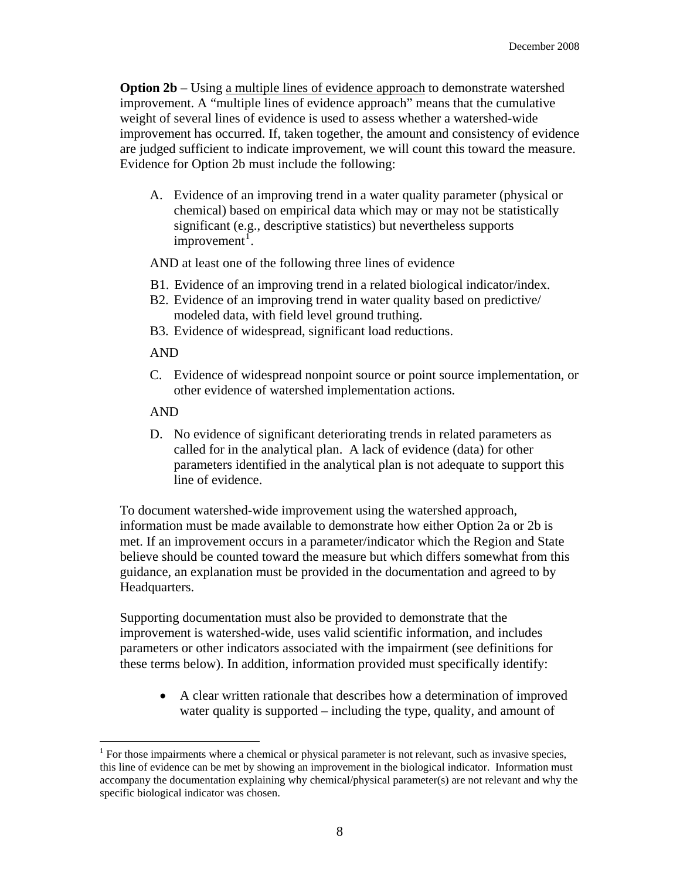**Option 2b** – Using a multiple lines of evidence approach to demonstrate watershed improvement. A "multiple lines of evidence approach" means that the cumulative weight of several lines of evidence is used to assess whether a watershed-wide improvement has occurred. If, taken together, the amount and consistency of evidence are judged sufficient to indicate improvement, we will count this toward the measure. Evidence for Option 2b must include the following:

A. Evidence of an improving trend in a water quality parameter (physical or chemical) based on empirical data which may or may not be statistically significant (e.g., descriptive statistics) but nevertheless supports  $improvement<sup>1</sup>$ .

AND at least one of the following three lines of evidence

- B1. Evidence of an improving trend in a related biological indicator/index.
- B2. Evidence of an improving trend in water quality based on predictive/ modeled data, with field level ground truthing.
- B3. Evidence of widespread, significant load reductions.

AND

C. Evidence of widespread nonpoint source or point source implementation, or other evidence of watershed implementation actions.

AND

 $\overline{a}$ 

D. No evidence of significant deteriorating trends in related parameters as called for in the analytical plan. A lack of evidence (data) for other parameters identified in the analytical plan is not adequate to support this line of evidence.

To document watershed-wide improvement using the watershed approach, information must be made available to demonstrate how either Option 2a or 2b is met. If an improvement occurs in a parameter/indicator which the Region and State believe should be counted toward the measure but which differs somewhat from this guidance, an explanation must be provided in the documentation and agreed to by Headquarters.

Supporting documentation must also be provided to demonstrate that the improvement is watershed-wide, uses valid scientific information, and includes parameters or other indicators associated with the impairment (see definitions for these terms below). In addition, information provided must specifically identify:

• A clear written rationale that describes how a determination of improved water quality is supported – including the type, quality, and amount of

 $<sup>1</sup>$  For those impairments where a chemical or physical parameter is not relevant, such as invasive species,</sup> this line of evidence can be met by showing an improvement in the biological indicator. Information must accompany the documentation explaining why chemical/physical parameter(s) are not relevant and why the specific biological indicator was chosen.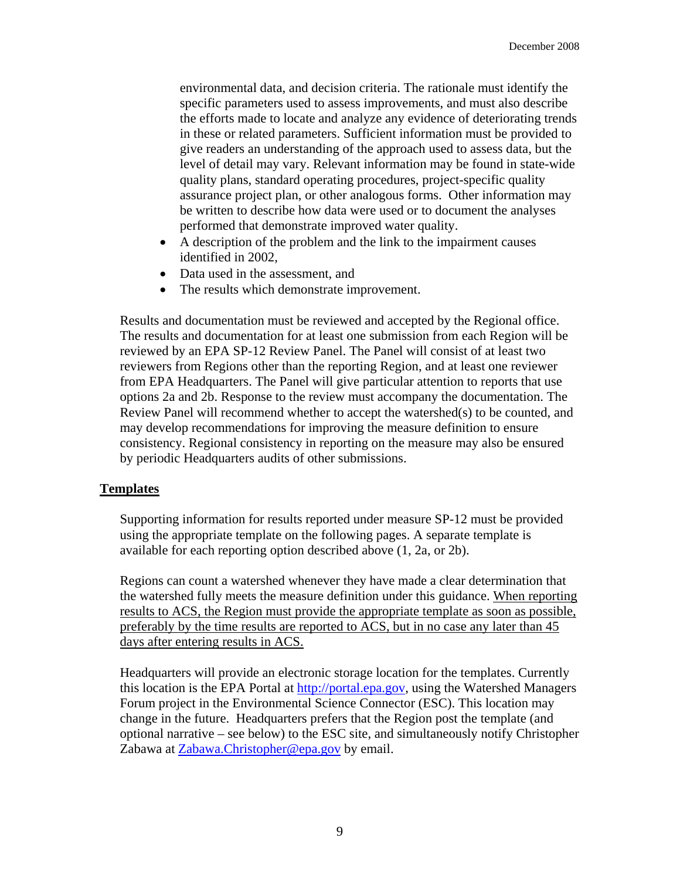environmental data, and decision criteria. The rationale must identify the specific parameters used to assess improvements, and must also describe the efforts made to locate and analyze any evidence of deteriorating trends in these or related parameters. Sufficient information must be provided to give readers an understanding of the approach used to assess data, but the level of detail may vary. Relevant information may be found in state-wide quality plans, standard operating procedures, project-specific quality assurance project plan, or other analogous forms. Other information may be written to describe how data were used or to document the analyses performed that demonstrate improved water quality.

- A description of the problem and the link to the impairment causes identified in 2002,
- Data used in the assessment, and
- The results which demonstrate improvement.

Results and documentation must be reviewed and accepted by the Regional office. The results and documentation for at least one submission from each Region will be reviewed by an EPA SP-12 Review Panel. The Panel will consist of at least two reviewers from Regions other than the reporting Region, and at least one reviewer from EPA Headquarters. The Panel will give particular attention to reports that use options 2a and 2b. Response to the review must accompany the documentation. The Review Panel will recommend whether to accept the watershed(s) to be counted, and may develop recommendations for improving the measure definition to ensure consistency. Regional consistency in reporting on the measure may also be ensured by periodic Headquarters audits of other submissions.

#### **Templates**

Supporting information for results reported under measure SP-12 must be provided using the appropriate template on the following pages. A separate template is available for each reporting option described above (1, 2a, or 2b).

days after entering results in ACS. Regions can count a watershed whenever they have made a clear determination that the watershed fully meets the measure definition under this guidance. When reporting results to ACS, the Region must provide the appropriate template as soon as possible, preferably by the time results are reported to ACS, but in no case any later than 45

Headquarters will provide an electronic storage location for the templates. Currently this location is the EPA Portal at [http://portal.epa.gov, us](http://portal.epa.gov)ing the Watershed Managers Forum project in the Environmental Science Connector (ESC). This location may change in the future. Headquarters prefers that the Region post the template (and optional narrative – see below) to the ESC site, and simultaneously notify Christopher Zabawa at [Zabawa.Christopher@epa.gov by](mailto:Zabawa.Christopher@epa.gov) email.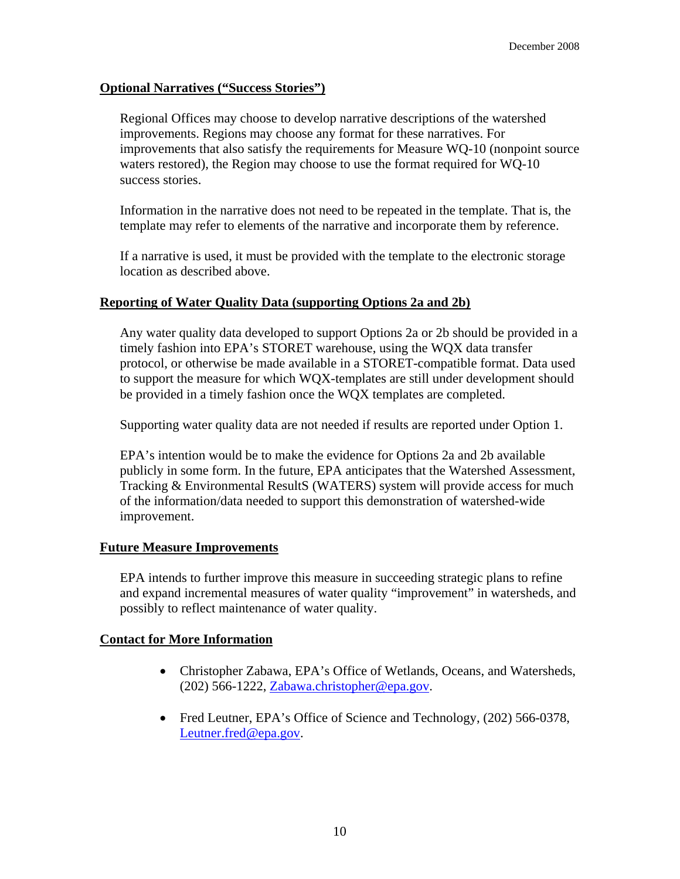#### **Optional Narratives ("Success Stories")**

Regional Offices may choose to develop narrative descriptions of the watershed improvements. Regions may choose any format for these narratives. For improvements that also satisfy the requirements for Measure WQ-10 (nonpoint source waters restored), the Region may choose to use the format required for WQ-10 success stories.

Information in the narrative does not need to be repeated in the template. That is, the template may refer to elements of the narrative and incorporate them by reference.

If a narrative is used, it must be provided with the template to the electronic storage location as described above.

#### **Reporting of Water Quality Data (supporting Options 2a and 2b)**

Any water quality data developed to support Options 2a or 2b should be provided in a timely fashion into EPA's STORET warehouse, using the WQX data transfer protocol, or otherwise be made available in a STORET-compatible format. Data used to support the measure for which WQX-templates are still under development should be provided in a timely fashion once the WQX templates are completed.

Supporting water quality data are not needed if results are reported under Option 1.

EPA's intention would be to make the evidence for Options 2a and 2b available publicly in some form. In the future, EPA anticipates that the Watershed Assessment, Tracking & Environmental ResultS (WATERS) system will provide access for much of the information/data needed to support this demonstration of watershed-wide improvement.

#### **Future Measure Improvements**

EPA intends to further improve this measure in succeeding strategic plans to refine and expand incremental measures of water quality "improvement" in watersheds, and possibly to reflect maintenance of water quality.

#### **Contact for More Information**

- Christopher Zabawa, EPA's Office of Wetlands, Oceans, and Watersheds, (202) 566-1222, [Zabawa.christopher@epa.gov.](mailto:Zabawa.christopher@epa.gov)
- Fred Leutner, EPA's Office of Science and Technology, (202) 566-0378, [Leutner.fred@epa.gov.](mailto:Leutner.fred@epa.gov)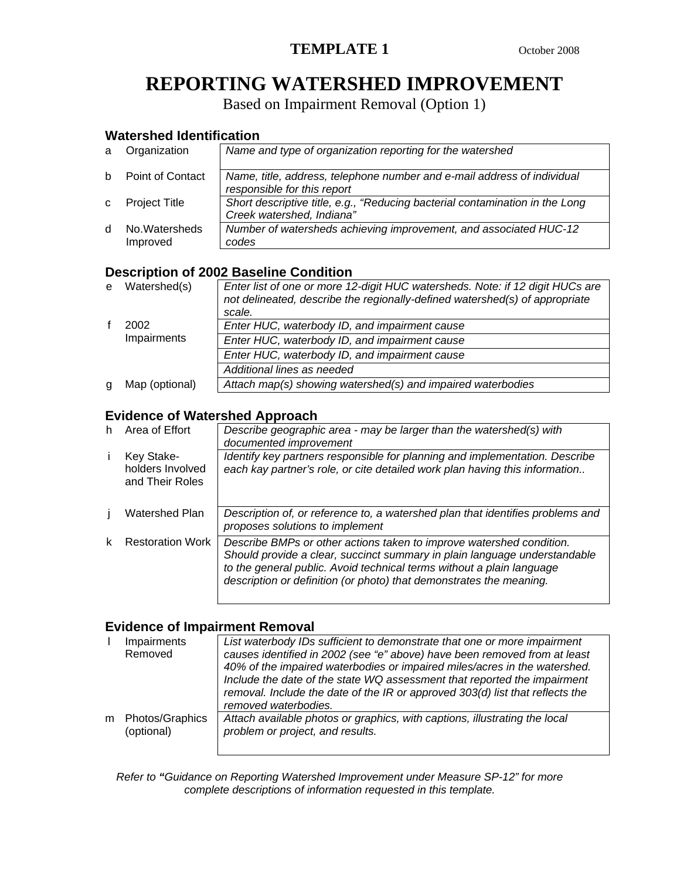## **REPORTING WATERSHED IMPROVEMENT**

Based on Impairment Removal (Option 1)

## **Watershed Identification**

| a            | Organization               | Name and type of organization reporting for the watershed                                                 |
|--------------|----------------------------|-----------------------------------------------------------------------------------------------------------|
| h.           | <b>Point of Contact</b>    | Name, title, address, telephone number and e-mail address of individual<br>responsible for this report    |
| $\mathbf{C}$ | <b>Project Title</b>       | Short descriptive title, e.g., "Reducing bacterial contamination in the Long<br>Creek watershed, Indiana" |
| <sub>d</sub> | No. Watersheds<br>Improved | Number of watersheds achieving improvement, and associated HUC-12<br>codes                                |

## **Description of 2002 Baseline Condition**

| e | Watershed(s)   | Enter list of one or more 12-digit HUC watersheds. Note: if 12 digit HUCs are<br>not delineated, describe the regionally-defined watershed(s) of appropriate |
|---|----------------|--------------------------------------------------------------------------------------------------------------------------------------------------------------|
|   |                | scale.                                                                                                                                                       |
|   | 2002           | Enter HUC, waterbody ID, and impairment cause                                                                                                                |
|   | Impairments    | Enter HUC, waterbody ID, and impairment cause                                                                                                                |
|   |                | Enter HUC, waterbody ID, and impairment cause                                                                                                                |
|   |                | Additional lines as needed                                                                                                                                   |
| g | Map (optional) | Attach map(s) showing watershed(s) and impaired waterbodies                                                                                                  |

#### **Evidence of Watershed Approach**

| h | Area of Effort                                    | Describe geographic area - may be larger than the watershed(s) with                                                                                                                                                                                                                               |
|---|---------------------------------------------------|---------------------------------------------------------------------------------------------------------------------------------------------------------------------------------------------------------------------------------------------------------------------------------------------------|
|   |                                                   | documented improvement                                                                                                                                                                                                                                                                            |
|   | Key Stake-<br>holders Involved<br>and Their Roles | Identify key partners responsible for planning and implementation. Describe<br>each kay partner's role, or cite detailed work plan having this information                                                                                                                                        |
|   | <b>Watershed Plan</b>                             | Description of, or reference to, a watershed plan that identifies problems and<br>proposes solutions to implement                                                                                                                                                                                 |
|   | <b>Restoration Work</b>                           | Describe BMPs or other actions taken to improve watershed condition.<br>Should provide a clear, succinct summary in plain language understandable<br>to the general public. Avoid technical terms without a plain language<br>description or definition (or photo) that demonstrates the meaning. |

## **Evidence of Impairment Removal**

|   | Impairments<br>Removed        | List waterbody IDs sufficient to demonstrate that one or more impairment<br>causes identified in 2002 (see "e" above) have been removed from at least<br>40% of the impaired waterbodies or impaired miles/acres in the watershed.<br>Include the date of the state WQ assessment that reported the impairment<br>removal. Include the date of the IR or approved 303(d) list that reflects the<br>removed waterbodies. |
|---|-------------------------------|-------------------------------------------------------------------------------------------------------------------------------------------------------------------------------------------------------------------------------------------------------------------------------------------------------------------------------------------------------------------------------------------------------------------------|
| m | Photos/Graphics<br>(optional) | Attach available photos or graphics, with captions, illustrating the local<br>problem or project, and results.                                                                                                                                                                                                                                                                                                          |

*Refer to "Guidance on Reporting Watershed Improvement under Measure SP-12" for more complete descriptions of information requested in this template.*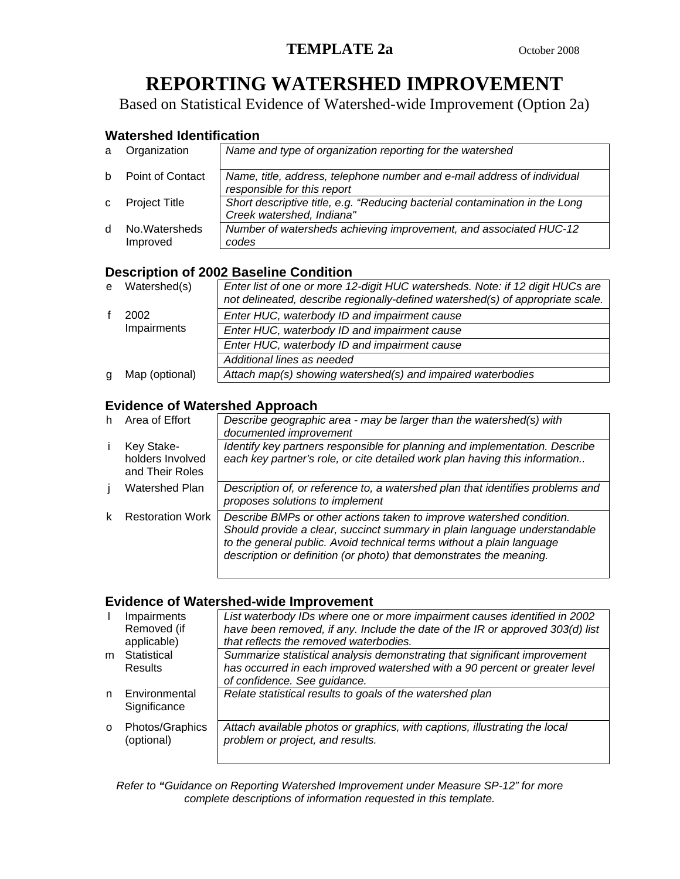# **REPORTING WATERSHED IMPROVEMENT**

Based on Statistical Evidence of Watershed-wide Improvement (Option 2a)

### **Watershed Identification**

| a            | Organization              | Name and type of organization reporting for the watershed                                                |
|--------------|---------------------------|----------------------------------------------------------------------------------------------------------|
| h.           | Point of Contact          | Name, title, address, telephone number and e-mail address of individual<br>responsible for this report   |
| $\mathbf{C}$ | <b>Project Title</b>      | Short descriptive title, e.g. "Reducing bacterial contamination in the Long<br>Creek watershed, Indiana" |
| <sub>d</sub> | No Watersheds<br>Improved | Number of watersheds achieving improvement, and associated HUC-12<br>codes                               |

## **Description of 2002 Baseline Condition**

|   | e Watershed(s) | Enter list of one or more 12-digit HUC watersheds. Note: if 12 digit HUCs are<br>not delineated, describe regionally-defined watershed(s) of appropriate scale. |
|---|----------------|-----------------------------------------------------------------------------------------------------------------------------------------------------------------|
|   | 2002           | Enter HUC, waterbody ID and impairment cause                                                                                                                    |
|   | Impairments    | Enter HUC, waterbody ID and impairment cause                                                                                                                    |
|   |                | Enter HUC, waterbody ID and impairment cause                                                                                                                    |
|   |                | Additional lines as needed                                                                                                                                      |
| a | Map (optional) | Attach map(s) showing watershed(s) and impaired waterbodies                                                                                                     |

## **Evidence of Watershed Approach**

| h. | Area of Effort                                    | Describe geographic area - may be larger than the watershed(s) with<br>documented improvement                                                                                                                                                                                                     |
|----|---------------------------------------------------|---------------------------------------------------------------------------------------------------------------------------------------------------------------------------------------------------------------------------------------------------------------------------------------------------|
|    | Key Stake-<br>holders Involved<br>and Their Roles | Identify key partners responsible for planning and implementation. Describe<br>each key partner's role, or cite detailed work plan having this information                                                                                                                                        |
|    | Watershed Plan                                    | Description of, or reference to, a watershed plan that identifies problems and<br>proposes solutions to implement                                                                                                                                                                                 |
|    | <b>Restoration Work</b>                           | Describe BMPs or other actions taken to improve watershed condition.<br>Should provide a clear, succinct summary in plain language understandable<br>to the general public. Avoid technical terms without a plain language<br>description or definition (or photo) that demonstrates the meaning. |

## **Evidence of Watershed-wide Improvement**

|          | Impairments     | List waterbody IDs where one or more impairment causes identified in 2002     |
|----------|-----------------|-------------------------------------------------------------------------------|
|          | Removed (if     | have been removed, if any. Include the date of the IR or approved 303(d) list |
|          | applicable)     | that reflects the removed waterbodies.                                        |
| m        | Statistical     | Summarize statistical analysis demonstrating that significant improvement     |
|          | Results         | has occurred in each improved watershed with a 90 percent or greater level    |
|          |                 | of confidence. See guidance.                                                  |
| n        | Environmental   | Relate statistical results to goals of the watershed plan                     |
|          | Significance    |                                                                               |
|          |                 |                                                                               |
| $\Omega$ | Photos/Graphics | Attach available photos or graphics, with captions, illustrating the local    |
|          | (optional)      | problem or project, and results.                                              |
|          |                 |                                                                               |

*Refer to "Guidance on Reporting Watershed Improvement under Measure SP-12" for more complete descriptions of information requested in this template.*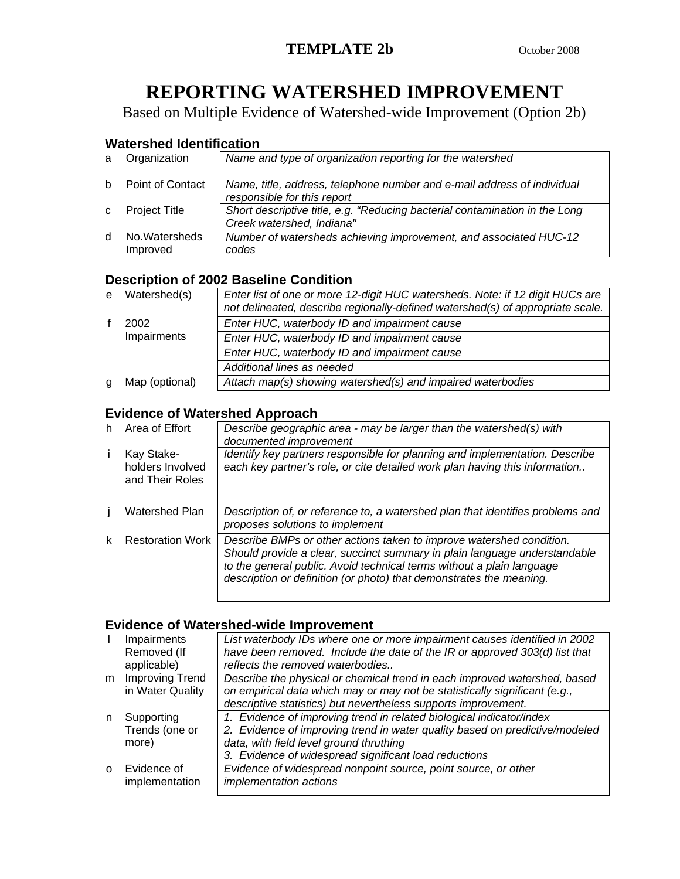# **REPORTING WATERSHED IMPROVEMENT**

Based on Multiple Evidence of Watershed-wide Improvement (Option 2b)

## **Watershed Identification**

| a            | Organization               | Name and type of organization reporting for the watershed                                                |
|--------------|----------------------------|----------------------------------------------------------------------------------------------------------|
| h.           | Point of Contact           | Name, title, address, telephone number and e-mail address of individual<br>responsible for this report   |
| $\mathbf{C}$ | <b>Project Title</b>       | Short descriptive title, e.g. "Reducing bacterial contamination in the Long<br>Creek watershed, Indiana" |
| <sub>d</sub> | No. Watersheds<br>Improved | Number of watersheds achieving improvement, and associated HUC-12<br>codes                               |

## **Description of 2002 Baseline Condition**

| e | Watershed(s)   | Enter list of one or more 12-digit HUC watersheds. Note: if 12 digit HUCs are<br>not delineated, describe regionally-defined watershed(s) of appropriate scale. |
|---|----------------|-----------------------------------------------------------------------------------------------------------------------------------------------------------------|
|   | 2002           | Enter HUC, waterbody ID and impairment cause                                                                                                                    |
|   | Impairments    | Enter HUC, waterbody ID and impairment cause                                                                                                                    |
|   |                | Enter HUC, waterbody ID and impairment cause                                                                                                                    |
|   |                | Additional lines as needed                                                                                                                                      |
| q | Map (optional) | Attach map(s) showing watershed(s) and impaired waterbodies                                                                                                     |

## **Evidence of Watershed Approach**

| h | Area of Effort                                    | Describe geographic area - may be larger than the watershed(s) with<br>documented improvement                                                                                                                                                                                                     |
|---|---------------------------------------------------|---------------------------------------------------------------------------------------------------------------------------------------------------------------------------------------------------------------------------------------------------------------------------------------------------|
|   | Kay Stake-<br>holders Involved<br>and Their Roles | Identify key partners responsible for planning and implementation. Describe<br>each key partner's role, or cite detailed work plan having this information                                                                                                                                        |
|   | Watershed Plan                                    | Description of, or reference to, a watershed plan that identifies problems and<br>proposes solutions to implement                                                                                                                                                                                 |
| k | <b>Restoration Work</b>                           | Describe BMPs or other actions taken to improve watershed condition.<br>Should provide a clear, succinct summary in plain language understandable<br>to the general public. Avoid technical terms without a plain language<br>description or definition (or photo) that demonstrates the meaning. |

## **Evidence of Watershed-wide Improvement**

|          | Impairments      | List waterbody IDs where one or more impairment causes identified in 2002   |
|----------|------------------|-----------------------------------------------------------------------------|
|          | Removed (If      | have been removed. Include the date of the IR or approved 303(d) list that  |
|          | applicable)      | reflects the removed waterbodies                                            |
| m        | Improving Trend  | Describe the physical or chemical trend in each improved watershed, based   |
|          | in Water Quality | on empirical data which may or may not be statistically significant (e.g.,  |
|          |                  | descriptive statistics) but nevertheless supports improvement.              |
| n        | Supporting       | 1. Evidence of improving trend in related biological indicator/index        |
|          | Trends (one or   | 2. Evidence of improving trend in water quality based on predictive/modeled |
|          | more)            | data, with field level ground thruthing                                     |
|          |                  | 3. Evidence of widespread significant load reductions                       |
| $\Omega$ | Evidence of      | Evidence of widespread nonpoint source, point source, or other              |
|          | implementation   | <i>implementation actions</i>                                               |
|          |                  |                                                                             |